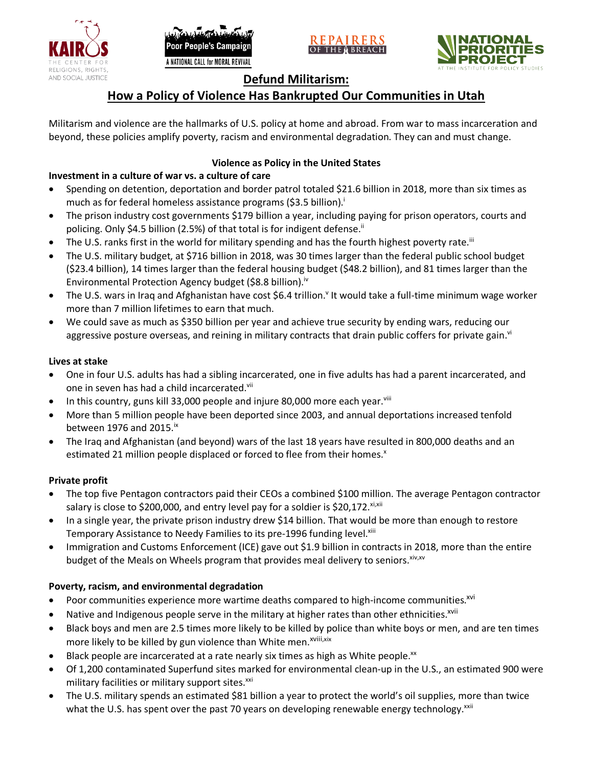





# **Defund Militarism:**

# **How a Policy of Violence Has Bankrupted Our Communities in Utah**

Militarism and violence are the hallmarks of U.S. policy at home and abroad. From war to mass incarceration and beyond, these policies amplify poverty, racism and environmental degradation. They can and must change.

# **Violence as Policy in the United States**

# **Investment in a culture of war vs. a culture of care**

- Spending on detention, deportation and border patrol totaled \$21.6 billion in 2018, more than six times as much as for federal homeless assistance programs (\$3.5 billion).<sup>i</sup>
- The prison industry cost governments \$179 billion a year, including paying for prison operators, courts and policing. Only \$4.5 billion (2.5%) of that total is for indigent defense.<sup>ii</sup>
- The U.S. ranks first in the world for military spending and has the fourth highest poverty rate.<sup>iii</sup>
- The U.S. military budget, at \$716 billion in 2018, was 30 times larger than the federal public school budget (\$23.4 billion), 14 times larger than the federal housing budget (\$48.2 billion), and 81 times larger than the Environmental Protection Agency budget (\$8.8 billion).<sup>iv</sup>
- The U.S. wars in Iraq and Afghanistan have cost \$6.4 trillion.<sup>v</sup> It would take a full-time minimum wage worker more than 7 million lifetimes to earn that much.
- We could save as much as \$350 billion per year and achieve true security by ending wars, reducing our aggressive posture overseas, and reining in military contracts that drain public coffers for private gain.<sup>vi</sup>

### **Lives at stake**

- One in four U.S. adults has had a sibling incarcerated, one in five adults has had a parent incarcerated, and one in seven has had a child incarcerated.vii
- In this country, guns kill 33,000 people and injure 80,000 more each year. $v_{\text{lin}}$
- More than 5 million people have been deported since 2003, and annual deportations increased tenfold between 1976 and 2015. $\mathrm{i}$ <sup>x</sup>
- The Iraq and Afghanistan (and beyond) wars of the last 18 years have resulted in 800,000 deaths and an estimated 21 million people displaced or forced to flee from their homes.<sup>x</sup>

## **Private profit**

- The top five Pentagon contractors paid their CEOs a combined \$100 million. The average Pentagon contractor salary is close to \$200,000, and entry level pay for a soldier is \$20,172. xi,xii
- In a single year, the private prison industry drew \$14 billion. That would be more than enough to restore Temporary Assistance to Needy Families to its pre-1996 funding level.<sup>xiii</sup>
- Immigration and Customs Enforcement (ICE) gave out \$1.9 billion in contracts in 2018, more than the entire budget of the Meals on Wheels program that provides meal delivery to seniors. Xiv, XV

## **Poverty, racism, and environmental degradation**

- Poor communities experience more wartime deaths compared to high-income communities.<sup>xvi</sup>
- Native and Indigenous people serve in the military at higher rates than other ethnicities.<sup>xvii</sup>
- Black boys and men are 2.5 times more likely to be killed by police than white boys or men, and are ten times more likely to be killed by gun violence than White men.<sup>xviii,xix</sup>
- Black people are incarcerated at a rate nearly six times as high as White people.<sup>xx</sup>
- Of 1,200 contaminated Superfund sites marked for environmental clean-up in the U.S., an estimated 900 were military facilities or military support sites.<sup>xxi</sup>
- The U.S. military spends an estimated \$81 billion a year to protect the world's oil supplies, more than twice what the U.S. has spent over the past 70 years on developing renewable energy technology.<sup>xxii</sup>